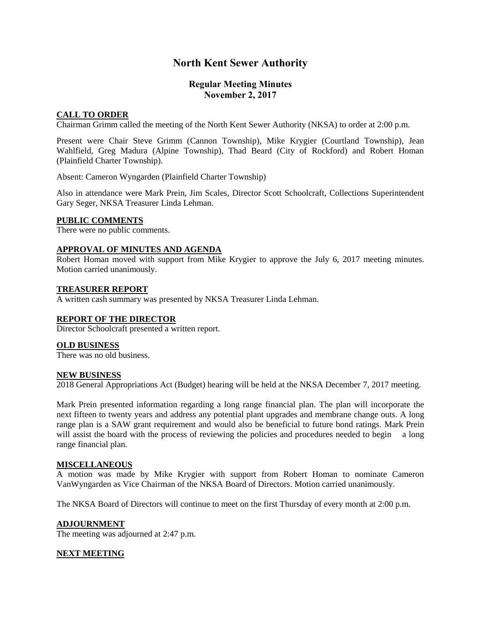# **North Kent Sewer Authority**

# **Regular Meeting Minutes November 2, 2017**

# **CALL TO ORDER**

Chairman Grimm called the meeting of the North Kent Sewer Authority (NKSA) to order at 2:00 p.m.

Present were Chair Steve Grimm (Cannon Township), Mike Krygier (Courtland Township), Jean Wahlfield, Greg Madura (Alpine Township), Thad Beard (City of Rockford) and Robert Homan (Plainfield Charter Township).

Absent: Cameron Wyngarden (Plainfield Charter Township)

Also in attendance were Mark Prein, Jim Scales, Director Scott Schoolcraft, Collections Superintendent Gary Seger, NKSA Treasurer Linda Lehman.

# **PUBLIC COMMENTS**

There were no public comments.

## **APPROVAL OF MINUTES AND AGENDA**

Robert Homan moved with support from Mike Krygier to approve the July 6, 2017 meeting minutes. Motion carried unanimously.

## **TREASURER REPORT**

A written cash summary was presented by NKSA Treasurer Linda Lehman.

#### **REPORT OF THE DIRECTOR**

Director Schoolcraft presented a written report.

#### **OLD BUSINESS**

There was no old business.

#### **NEW BUSINESS**

2018 General Appropriations Act (Budget) hearing will be held at the NKSA December 7, 2017 meeting.

Mark Prein presented information regarding a long range financial plan. The plan will incorporate the next fifteen to twenty years and address any potential plant upgrades and membrane change outs. A long range plan is a SAW grant requirement and would also be beneficial to future bond ratings. Mark Prein will assist the board with the process of reviewing the policies and procedures needed to begin a long range financial plan.

#### **MISCELLANEOUS**

A motion was made by Mike Krygier with support from Robert Homan to nominate Cameron VanWyngarden as Vice Chairman of the NKSA Board of Directors. Motion carried unanimously.

The NKSA Board of Directors will continue to meet on the first Thursday of every month at 2:00 p.m.

#### **ADJOURNMENT**

The meeting was adjourned at 2:47 p.m.

# **NEXT MEETING**